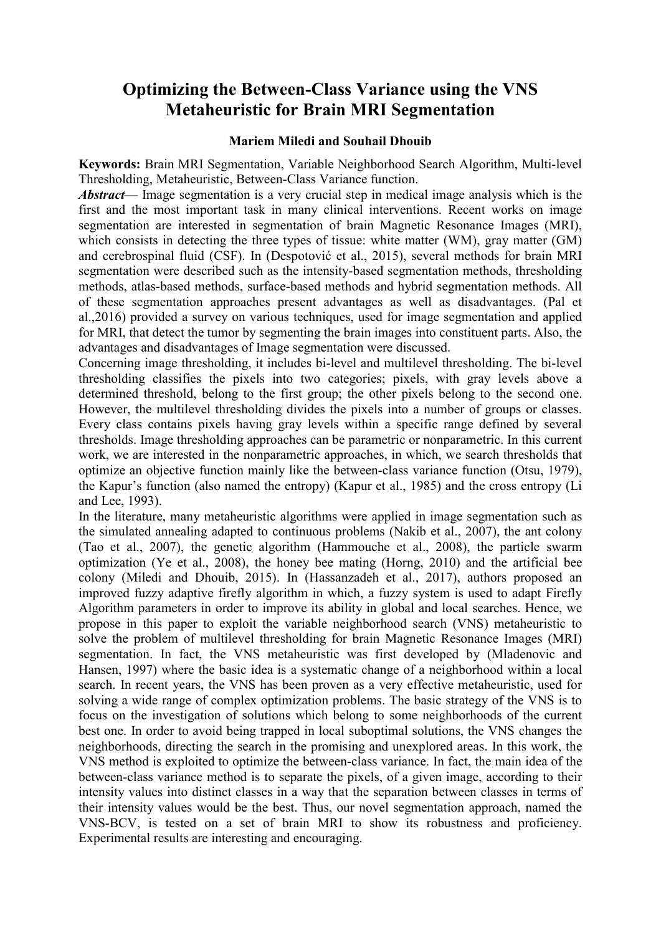## Optimizing the Between-Class Variance using the VNS Metaheuristic for Brain MRI Segmentation

## Mariem Miledi and Souhail Dhouib

Keywords: Brain MRI Segmentation, Variable Neighborhood Search Algorithm, Multi-level Thresholding, Metaheuristic, Between-Class Variance function.

Abstract— Image segmentation is a very crucial step in medical image analysis which is the first and the most important task in many clinical interventions. Recent works on image segmentation are interested in segmentation of brain Magnetic Resonance Images (MRI), which consists in detecting the three types of tissue: white matter (WM), gray matter (GM) and cerebrospinal fluid (CSF). In (Despotović et al., 2015), several methods for brain MRI segmentation were described such as the intensity-based segmentation methods, thresholding methods, atlas-based methods, surface-based methods and hybrid segmentation methods. All of these segmentation approaches present advantages as well as disadvantages. (Pal et al.,2016) provided a survey on various techniques, used for image segmentation and applied for MRI, that detect the tumor by segmenting the brain images into constituent parts. Also, the advantages and disadvantages of Image segmentation were discussed.

Concerning image thresholding, it includes bi-level and multilevel thresholding. The bi-level thresholding classifies the pixels into two categories; pixels, with gray levels above a determined threshold, belong to the first group; the other pixels belong to the second one. However, the multilevel thresholding divides the pixels into a number of groups or classes. Every class contains pixels having gray levels within a specific range defined by several thresholds. Image thresholding approaches can be parametric or nonparametric. In this current work, we are interested in the nonparametric approaches, in which, we search thresholds that optimize an objective function mainly like the between-class variance function (Otsu, 1979), the Kapur's function (also named the entropy) (Kapur et al., 1985) and the cross entropy (Li and Lee, 1993).

In the literature, many metaheuristic algorithms were applied in image segmentation such as the simulated annealing adapted to continuous problems (Nakib et al., 2007), the ant colony (Tao et al., 2007), the genetic algorithm (Hammouche et al., 2008), the particle swarm optimization (Ye et al., 2008), the honey bee mating (Horng, 2010) and the artificial bee colony (Miledi and Dhouib, 2015). In (Hassanzadeh et al., 2017), authors proposed an improved fuzzy adaptive firefly algorithm in which, a fuzzy system is used to adapt Firefly Algorithm parameters in order to improve its ability in global and local searches. Hence, we propose in this paper to exploit the variable neighborhood search (VNS) metaheuristic to solve the problem of multilevel thresholding for brain Magnetic Resonance Images (MRI) segmentation. In fact, the VNS metaheuristic was first developed by (Mladenovic and Hansen, 1997) where the basic idea is a systematic change of a neighborhood within a local search. In recent years, the VNS has been proven as a very effective metaheuristic, used for solving a wide range of complex optimization problems. The basic strategy of the VNS is to focus on the investigation of solutions which belong to some neighborhoods of the current best one. In order to avoid being trapped in local suboptimal solutions, the VNS changes the neighborhoods, directing the search in the promising and unexplored areas. In this work, the VNS method is exploited to optimize the between-class variance. In fact, the main idea of the between-class variance method is to separate the pixels, of a given image, according to their intensity values into distinct classes in a way that the separation between classes in terms of their intensity values would be the best. Thus, our novel segmentation approach, named the VNS-BCV, is tested on a set of brain MRI to show its robustness and proficiency. Experimental results are interesting and encouraging.